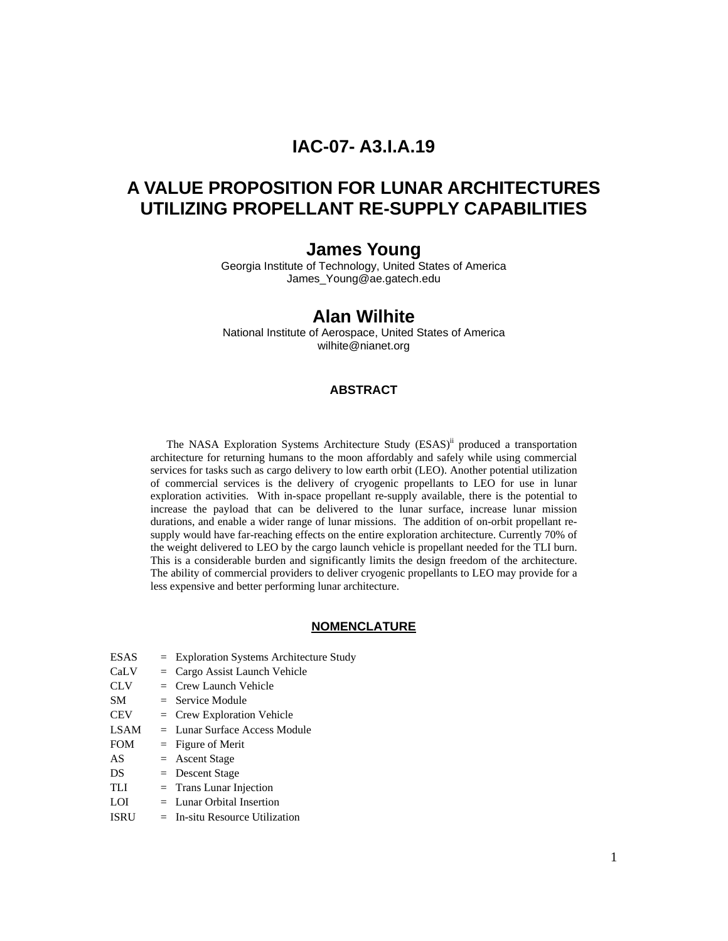# **IAC-07- A3.I.A.19**

# **A VALUE PROPOSITION FOR LUNAR ARCHITECTURES UTILIZING PROPELLANT RE-SUPPLY CAPABILITIES**

## **James Young**

Georgia Institute of Technology, United States of America James\_Young@ae.gatech.edu

## **Alan Wilhite**

National Institute of Aerospace, United States of America wilhite@nianet.org

#### **ABSTRACT**

The NASA Exploration Systems Architecture Study (ESAS)<sup>ii</sup> produced a transportation architecture for returning humans to the moon affordably and safely while using commercial services for tasks such as cargo delivery to low earth orbit (LEO). Another potential utilization of commercial services is the delivery of cryogenic propellants to LEO for use in lunar exploration activities. With in-space propellant re-supply available, there is the potential to increase the payload that can be delivered to the lunar surface, increase lunar mission durations, and enable a wider range of lunar missions. The addition of on-orbit propellant resupply would have far-reaching effects on the entire exploration architecture. Currently 70% of the weight delivered to LEO by the cargo launch vehicle is propellant needed for the TLI burn. This is a considerable burden and significantly limits the design freedom of the architecture. The ability of commercial providers to deliver cryogenic propellants to LEO may provide for a less expensive and better performing lunar architecture.

#### **NOMENCLATURE**

CaLV = Cargo Assist Launch Vehicle CLV = Crew Launch Vehicle  $SM =$  Service Module  $CEV = Crew \tExploration \tVehicle$ LSAM = Lunar Surface Access Module FOM = Figure of Merit  $AS =$  Ascent Stage  $DS = Descent Stage$  $TLI = Trans Lunar Injection$ 

ESAS = Exploration Systems Architecture Study

- LOI = Lunar Orbital Insertion
- ISRU = In-situ Resource Utilization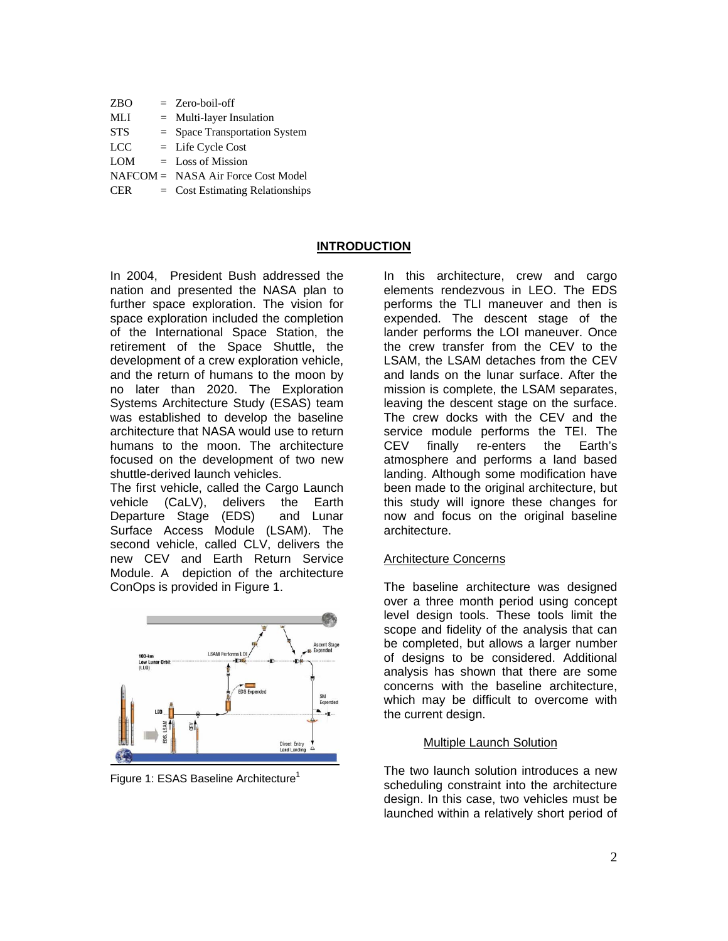| <b>ZBO</b> | $=$ Zero-boil-off                  |
|------------|------------------------------------|
| MLI        | $=$ Multi-layer Insulation         |
| <b>STS</b> | $=$ Space Transportation System    |
| <b>LCC</b> | $=$ Life Cycle Cost                |
| <b>LOM</b> | $\equiv$ Loss of Mission           |
|            | NAFCOM = NASA Air Force Cost Model |
| CER.       | $=$ Cost Estimating Relationships  |

### **INTRODUCTION**

In 2004, President Bush addressed the nation and presented the NASA plan to further space exploration. The vision for space exploration included the completion of the International Space Station, the retirement of the Space Shuttle, the development of a crew exploration vehicle, and the return of humans to the moon by no later than 2020. The Exploration Systems Architecture Study (ESAS) team was established to develop the baseline architecture that NASA would use to return humans to the moon. The architecture focused on the development of two new shuttle-derived launch vehicles.

The first vehicle, called the Cargo Launch vehicle (CaLV), delivers the Earth Departure Stage (EDS) and Lunar Surface Access Module (LSAM). The second vehicle, called CLV, delivers the new CEV and Earth Return Service Module. A depiction of the architecture ConOps is provided in Figure 1.



Figure 1: ESAS Baseline Architecture<sup>1</sup>

In this architecture, crew and cargo elements rendezvous in LEO. The EDS performs the TLI maneuver and then is expended. The descent stage of the lander performs the LOI maneuver. Once the crew transfer from the CEV to the LSAM, the LSAM detaches from the CEV and lands on the lunar surface. After the mission is complete, the LSAM separates, leaving the descent stage on the surface. The crew docks with the CEV and the service module performs the TEI. The CEV finally re-enters the Earth's atmosphere and performs a land based landing. Although some modification have been made to the original architecture, but this study will ignore these changes for now and focus on the original baseline architecture.

#### Architecture Concerns

The baseline architecture was designed over a three month period using concept level design tools. These tools limit the scope and fidelity of the analysis that can be completed, but allows a larger number of designs to be considered. Additional analysis has shown that there are some concerns with the baseline architecture, which may be difficult to overcome with the current design.

#### Multiple Launch Solution

The two launch solution introduces a new scheduling constraint into the architecture design. In this case, two vehicles must be launched within a relatively short period of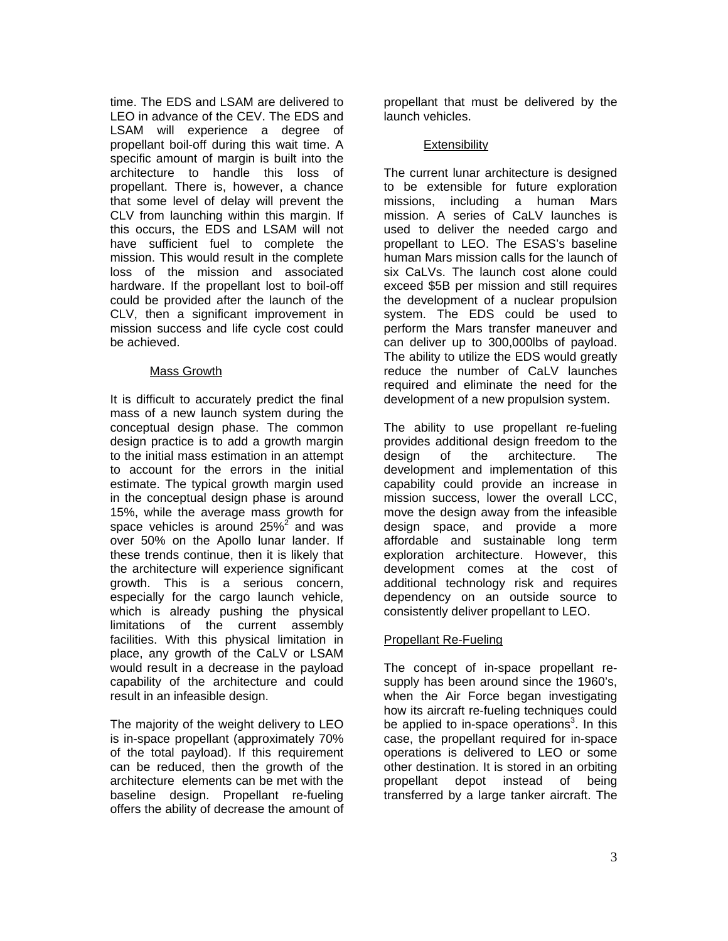time. The EDS and LSAM are delivered to LEO in advance of the CEV. The EDS and LSAM will experience a degree of propellant boil-off during this wait time. A specific amount of margin is built into the architecture to handle this loss of propellant. There is, however, a chance that some level of delay will prevent the CLV from launching within this margin. If this occurs, the EDS and LSAM will not have sufficient fuel to complete the mission. This would result in the complete loss of the mission and associated hardware. If the propellant lost to boil-off could be provided after the launch of the CLV, then a significant improvement in mission success and life cycle cost could be achieved.

## Mass Growth

It is difficult to accurately predict the final mass of a new launch system during the conceptual design phase. The common design practice is to add a growth margin to the initial mass estimation in an attempt to account for the errors in the initial estimate. The typical growth margin used in the conceptual design phase is around 15%, while the average mass growth for space vehicles is around  $25\%^2$  and was over 50% on the Apollo lunar lander. If these trends continue, then it is likely that the architecture will experience significant growth. This is a serious concern, especially for the cargo launch vehicle, which is already pushing the physical limitations of the current assembly facilities. With this physical limitation in place, any growth of the CaLV or LSAM would result in a decrease in the payload capability of the architecture and could result in an infeasible design.

The majority of the weight delivery to LEO is in-space propellant (approximately 70% of the total payload). If this requirement can be reduced, then the growth of the architecture elements can be met with the baseline design. Propellant re-fueling offers the ability of decrease the amount of propellant that must be delivered by the launch vehicles.

## **Extensibility**

The current lunar architecture is designed to be extensible for future exploration missions, including a human Mars mission. A series of CaLV launches is used to deliver the needed cargo and propellant to LEO. The ESAS's baseline human Mars mission calls for the launch of six CaLVs. The launch cost alone could exceed \$5B per mission and still requires the development of a nuclear propulsion system. The EDS could be used to perform the Mars transfer maneuver and can deliver up to 300,000lbs of payload. The ability to utilize the EDS would greatly reduce the number of CaLV launches required and eliminate the need for the development of a new propulsion system.

The ability to use propellant re-fueling provides additional design freedom to the design of the architecture. The development and implementation of this capability could provide an increase in mission success, lower the overall LCC, move the design away from the infeasible design space, and provide a more affordable and sustainable long term exploration architecture. However, this development comes at the cost of additional technology risk and requires dependency on an outside source to consistently deliver propellant to LEO.

## Propellant Re-Fueling

The concept of in-space propellant resupply has been around since the 1960's, when the Air Force began investigating how its aircraft re-fueling techniques could be applied to in-space operations<sup>3</sup>. In this case, the propellant required for in-space operations is delivered to LEO or some other destination. It is stored in an orbiting propellant depot instead of being transferred by a large tanker aircraft. The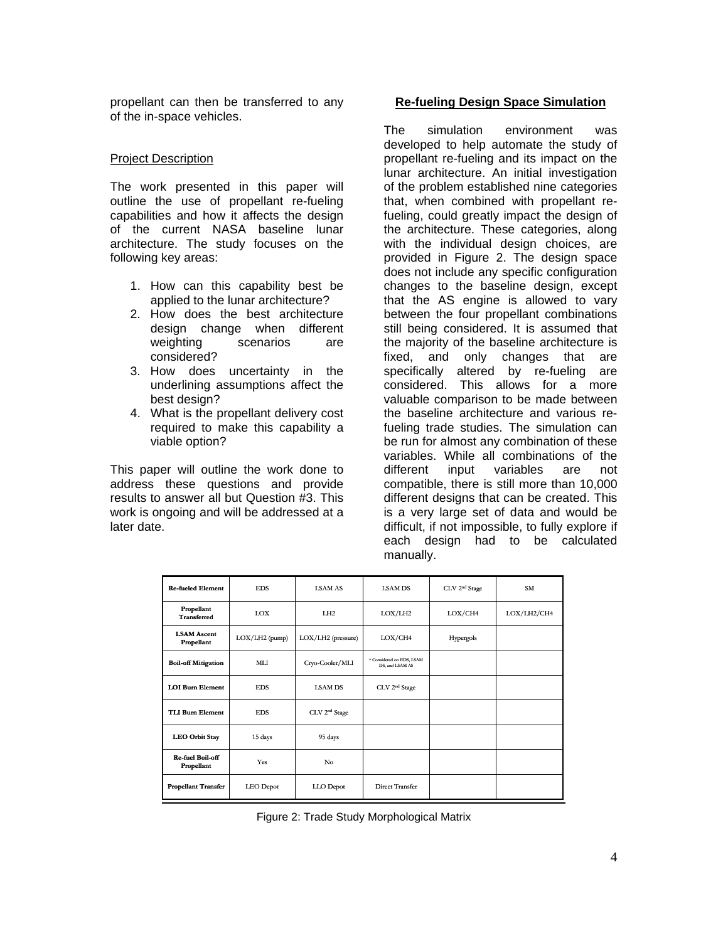propellant can then be transferred to any of the in-space vehicles.

#### Project Description

The work presented in this paper will outline the use of propellant re-fueling capabilities and how it affects the design of the current NASA baseline lunar architecture. The study focuses on the following key areas:

- 1. How can this capability best be applied to the lunar architecture?
- 2. How does the best architecture design change when different weighting scenarios are considered?
- 3. How does uncertainty in the underlining assumptions affect the best design?
- 4. What is the propellant delivery cost required to make this capability a viable option?

This paper will outline the work done to address these questions and provide results to answer all but Question #3. This work is ongoing and will be addressed at a later date.

#### **Re-fueling Design Space Simulation**

The simulation environment was developed to help automate the study of propellant re-fueling and its impact on the lunar architecture. An initial investigation of the problem established nine categories that, when combined with propellant refueling, could greatly impact the design of the architecture. These categories, along with the individual design choices, are provided in Figure 2. The design space does not include any specific configuration changes to the baseline design, except that the AS engine is allowed to vary between the four propellant combinations still being considered. It is assumed that the majority of the baseline architecture is fixed, and only changes that are specifically altered by re-fueling are considered. This allows for a more valuable comparison to be made between the baseline architecture and various refueling trade studies. The simulation can be run for almost any combination of these variables. While all combinations of the different input variables are not compatible, there is still more than 10,000 different designs that can be created. This is a very large set of data and would be difficult, if not impossible, to fully explore if each design had to be calculated manually.

| <b>Re-fueled Element</b>         | <b>EDS</b>       | <b>LSAM AS</b>            | <b>LSAM DS</b>                               | CLV 2 <sup>nd</sup> Stage | <b>SM</b>   |
|----------------------------------|------------------|---------------------------|----------------------------------------------|---------------------------|-------------|
| Propellant<br><b>Transferred</b> | LOX              | LH <sub>2</sub>           | LOX/LH2                                      | LOX/CH4                   | LOX/LH2/CH4 |
| <b>LSAM Ascent</b><br>Propellant | $LOX/LH2$ (pump) | LOX/LH2 (pressure)        | LOX/CH4                                      | Hypergols                 |             |
| <b>Boil-off Mitigation</b>       | MLI.             | Cryo-Cooler/MLI           | * Considered on EDS, LSAM<br>DS, and LSAM AS |                           |             |
| <b>LOI Burn Element</b>          | <b>EDS</b>       | <b>LSAM DS</b>            | CLV 2 <sup>nd</sup> Stage                    |                           |             |
| <b>TLI Burn Element</b>          | <b>EDS</b>       | CLV 2 <sup>nd</sup> Stage |                                              |                           |             |
| <b>LEO Orbit Stay</b>            | 15 days          | 95 days                   |                                              |                           |             |
| Re-fuel Boil-off<br>Propellant   | Yes              | No                        |                                              |                           |             |
| <b>Propellant Transfer</b>       | <b>LEO</b> Depot | LLO Depot                 | Direct Transfer                              |                           |             |

Figure 2: Trade Study Morphological Matrix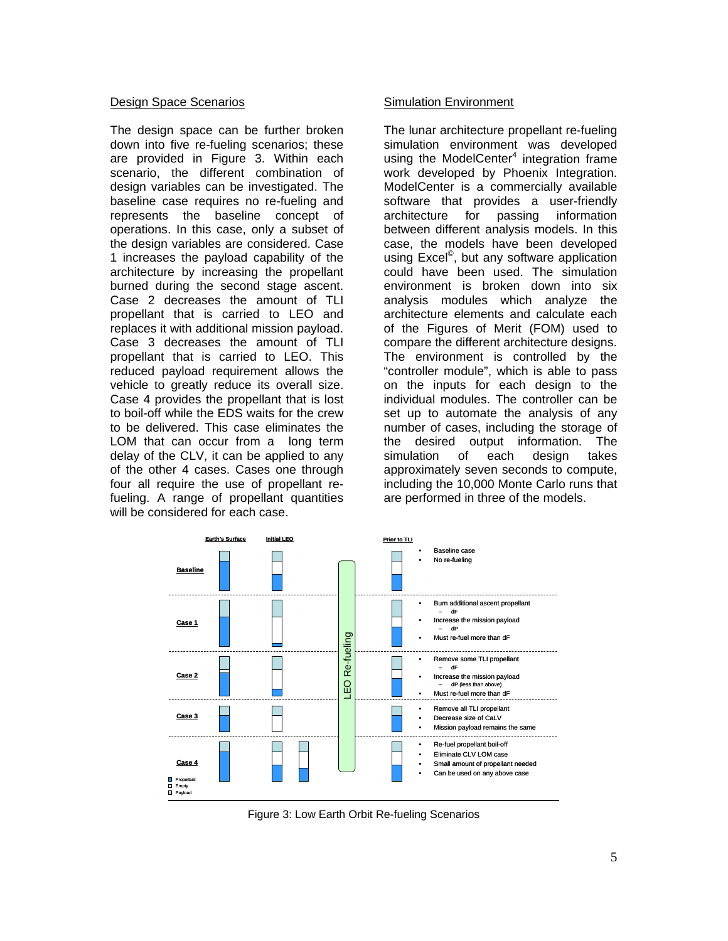#### Design Space Scenarios

The design space can be further broken down into five re-fueling scenarios; these are provided in Figure 3. Within each scenario, the different combination of design variables can be investigated. The baseline case requires no re-fueling and represents the baseline concept of operations. In this case, only a subset of the design variables are considered. Case 1 increases the payload capability of the architecture by increasing the propellant burned during the second stage ascent. Case 2 decreases the amount of TLI propellant that is carried to LEO and replaces it with additional mission payload. Case 3 decreases the amount of TLI propellant that is carried to LEO. This reduced payload requirement allows the vehicle to greatly reduce its overall size. Case 4 provides the propellant that is lost to boil-off while the EDS waits for the crew to be delivered. This case eliminates the LOM that can occur from a long term delay of the CLV, it can be applied to any of the other 4 cases. Cases one through four all require the use of propellant refueling. A range of propellant quantities will be considered for each case.

#### Simulation Environment

The lunar architecture propellant re-fueling simulation environment was developed using the ModelCenter<sup>4</sup> integration frame work developed by Phoenix Integration. ModelCenter is a commercially available software that provides a user-friendly architecture for passing information between different analysis models. In this case, the models have been developed using Excel©, but any software application could have been used. The simulation environment is broken down into six analysis modules which analyze the architecture elements and calculate each of the Figures of Merit (FOM) used to compare the different architecture designs. The environment is controlled by the "controller module", which is able to pass on the inputs for each design to the individual modules. The controller can be set up to automate the analysis of any number of cases, including the storage of the desired output information. The simulation of each design takes approximately seven seconds to compute, including the 10,000 Monte Carlo runs that are performed in three of the models.



Figure 3: Low Earth Orbit Re-fueling Scenarios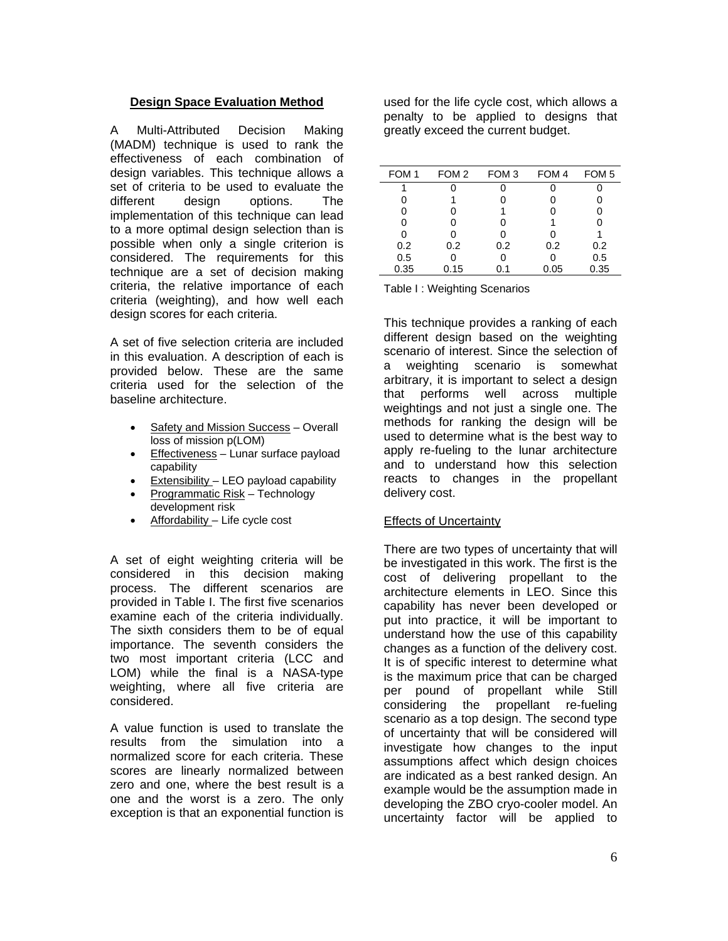## **Design Space Evaluation Method**

A Multi-Attributed Decision Making (MADM) technique is used to rank the effectiveness of each combination of design variables. This technique allows a set of criteria to be used to evaluate the different design options. The implementation of this technique can lead to a more optimal design selection than is possible when only a single criterion is considered. The requirements for this technique are a set of decision making criteria, the relative importance of each criteria (weighting), and how well each design scores for each criteria.

A set of five selection criteria are included in this evaluation. A description of each is provided below. These are the same criteria used for the selection of the baseline architecture.

- Safety and Mission Success Overall loss of mission p(LOM)
- Effectiveness Lunar surface payload capability
- Extensibility LEO payload capability
- Programmatic Risk Technology development risk
- Affordability Life cycle cost

A set of eight weighting criteria will be considered in this decision making process. The different scenarios are provided in Table I. The first five scenarios examine each of the criteria individually. The sixth considers them to be of equal importance. The seventh considers the two most important criteria (LCC and LOM) while the final is a NASA-type weighting, where all five criteria are considered.

A value function is used to translate the results from the simulation into a normalized score for each criteria. These scores are linearly normalized between zero and one, where the best result is a one and the worst is a zero. The only exception is that an exponential function is used for the life cycle cost, which allows a penalty to be applied to designs that greatly exceed the current budget.

| FOM <sub>1</sub> | FOM 2 | FOM <sub>3</sub> | FOM 4 | FOM <sub>5</sub> |
|------------------|-------|------------------|-------|------------------|
| 1                |       |                  |       |                  |
| 0                |       |                  |       |                  |
| 0                |       |                  |       | U                |
| 0                | 0     | 0                |       |                  |
| 0                | 0     | 0                |       |                  |
| 0.2              | 0.2   | 0.2              | 0.2   | 0.2              |
| 0.5              |       | 0                |       | 0.5              |
| 0.35             | 0.15  | 0.1              | 0.05  | 0.35             |

Table I : Weighting Scenarios

This technique provides a ranking of each different design based on the weighting scenario of interest. Since the selection of a weighting scenario is somewhat arbitrary, it is important to select a design that performs well across multiple weightings and not just a single one. The methods for ranking the design will be used to determine what is the best way to apply re-fueling to the lunar architecture and to understand how this selection reacts to changes in the propellant delivery cost.

#### **Effects of Uncertainty**

There are two types of uncertainty that will be investigated in this work. The first is the cost of delivering propellant to the architecture elements in LEO. Since this capability has never been developed or put into practice, it will be important to understand how the use of this capability changes as a function of the delivery cost. It is of specific interest to determine what is the maximum price that can be charged per pound of propellant while Still considering the propellant re-fueling scenario as a top design. The second type of uncertainty that will be considered will investigate how changes to the input assumptions affect which design choices are indicated as a best ranked design. An example would be the assumption made in developing the ZBO cryo-cooler model. An uncertainty factor will be applied to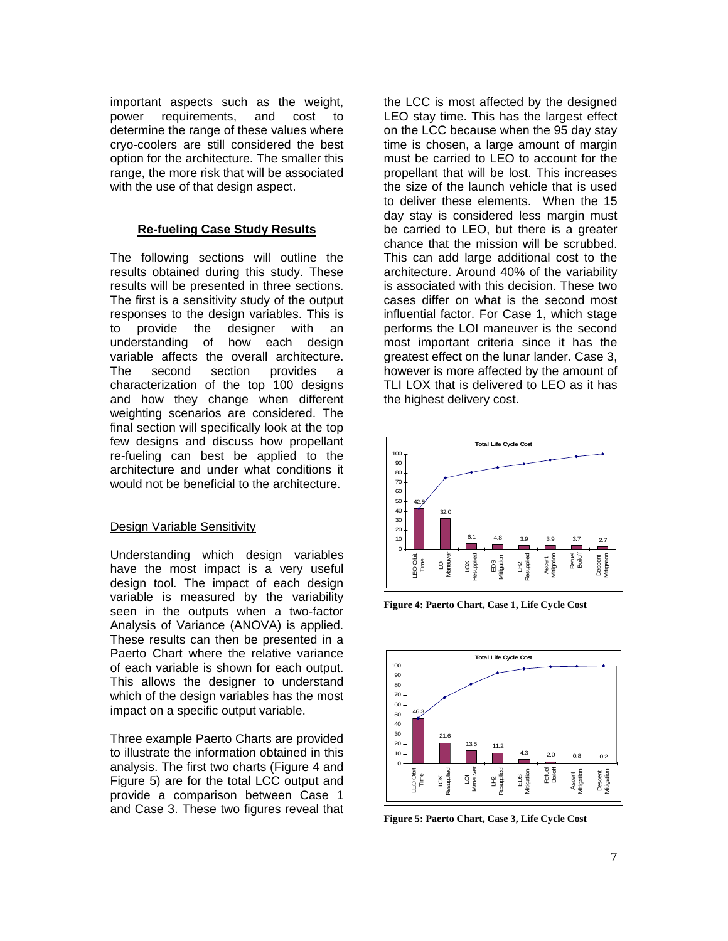important aspects such as the weight, power requirements, and cost to determine the range of these values where cryo-coolers are still considered the best option for the architecture. The smaller this range, the more risk that will be associated with the use of that design aspect.

## **Re-fueling Case Study Results**

The following sections will outline the results obtained during this study. These results will be presented in three sections. The first is a sensitivity study of the output responses to the design variables. This is to provide the designer with an understanding of how each design variable affects the overall architecture. The second section provides a characterization of the top 100 designs and how they change when different weighting scenarios are considered. The final section will specifically look at the top few designs and discuss how propellant re-fueling can best be applied to the architecture and under what conditions it would not be beneficial to the architecture.

#### Design Variable Sensitivity

Understanding which design variables have the most impact is a very useful design tool. The impact of each design variable is measured by the variability seen in the outputs when a two-factor Analysis of Variance (ANOVA) is applied. These results can then be presented in a Paerto Chart where the relative variance of each variable is shown for each output. This allows the designer to understand which of the design variables has the most impact on a specific output variable.

Three example Paerto Charts are provided to illustrate the information obtained in this analysis. The first two charts (Figure 4 and Figure 5) are for the total LCC output and provide a comparison between Case 1 and Case 3. These two figures reveal that the LCC is most affected by the designed LEO stay time. This has the largest effect on the LCC because when the 95 day stay time is chosen, a large amount of margin must be carried to LEO to account for the propellant that will be lost. This increases the size of the launch vehicle that is used to deliver these elements. When the 15 day stay is considered less margin must be carried to LEO, but there is a greater chance that the mission will be scrubbed. This can add large additional cost to the architecture. Around 40% of the variability is associated with this decision. These two cases differ on what is the second most influential factor. For Case 1, which stage performs the LOI maneuver is the second most important criteria since it has the greatest effect on the lunar lander. Case 3, however is more affected by the amount of TLI LOX that is delivered to LEO as it has the highest delivery cost.



**Figure 4: Paerto Chart, Case 1, Life Cycle Cost** 



**Figure 5: Paerto Chart, Case 3, Life Cycle Cost**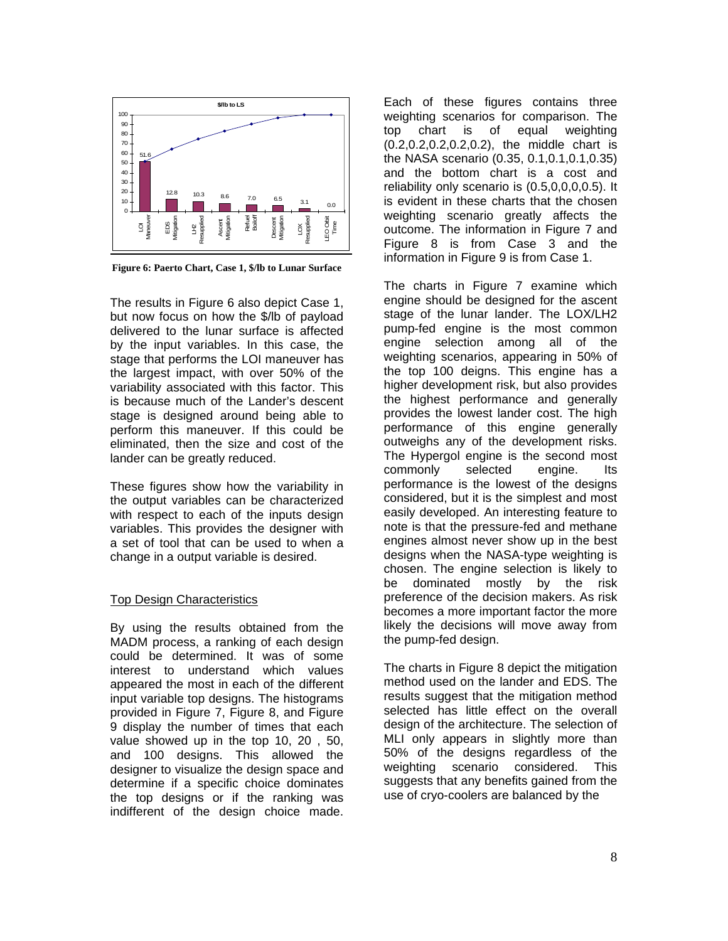

**Figure 6: Paerto Chart, Case 1, \$/lb to Lunar Surface** 

The results in Figure 6 also depict Case 1, but now focus on how the \$/lb of payload delivered to the lunar surface is affected by the input variables. In this case, the stage that performs the LOI maneuver has the largest impact, with over 50% of the variability associated with this factor. This is because much of the Lander's descent stage is designed around being able to perform this maneuver. If this could be eliminated, then the size and cost of the lander can be greatly reduced.

These figures show how the variability in the output variables can be characterized with respect to each of the inputs design variables. This provides the designer with a set of tool that can be used to when a change in a output variable is desired.

#### Top Design Characteristics

By using the results obtained from the MADM process, a ranking of each design could be determined. It was of some interest to understand which values appeared the most in each of the different input variable top designs. The histograms provided in Figure 7, Figure 8, and Figure 9 display the number of times that each value showed up in the top 10, 20 , 50, and 100 designs. This allowed the designer to visualize the design space and determine if a specific choice dominates the top designs or if the ranking was indifferent of the design choice made. Each of these figures contains three weighting scenarios for comparison. The top chart is of equal weighting (0.2,0.2,0.2,0.2,0.2), the middle chart is the NASA scenario (0.35, 0.1,0.1,0.1,0.35) and the bottom chart is a cost and reliability only scenario is (0.5,0,0,0,0.5). It is evident in these charts that the chosen weighting scenario greatly affects the outcome. The information in Figure 7 and Figure 8 is from Case 3 and the information in Figure 9 is from Case 1.

The charts in Figure 7 examine which engine should be designed for the ascent stage of the lunar lander. The LOX/LH2 pump-fed engine is the most common engine selection among all of the weighting scenarios, appearing in 50% of the top 100 deigns. This engine has a higher development risk, but also provides the highest performance and generally provides the lowest lander cost. The high performance of this engine generally outweighs any of the development risks. The Hypergol engine is the second most commonly selected engine. Its performance is the lowest of the designs considered, but it is the simplest and most easily developed. An interesting feature to note is that the pressure-fed and methane engines almost never show up in the best designs when the NASA-type weighting is chosen. The engine selection is likely to be dominated mostly by the risk preference of the decision makers. As risk becomes a more important factor the more likely the decisions will move away from the pump-fed design.

The charts in Figure 8 depict the mitigation method used on the lander and EDS. The results suggest that the mitigation method selected has little effect on the overall design of the architecture. The selection of MLI only appears in slightly more than 50% of the designs regardless of the weighting scenario considered. This suggests that any benefits gained from the use of cryo-coolers are balanced by the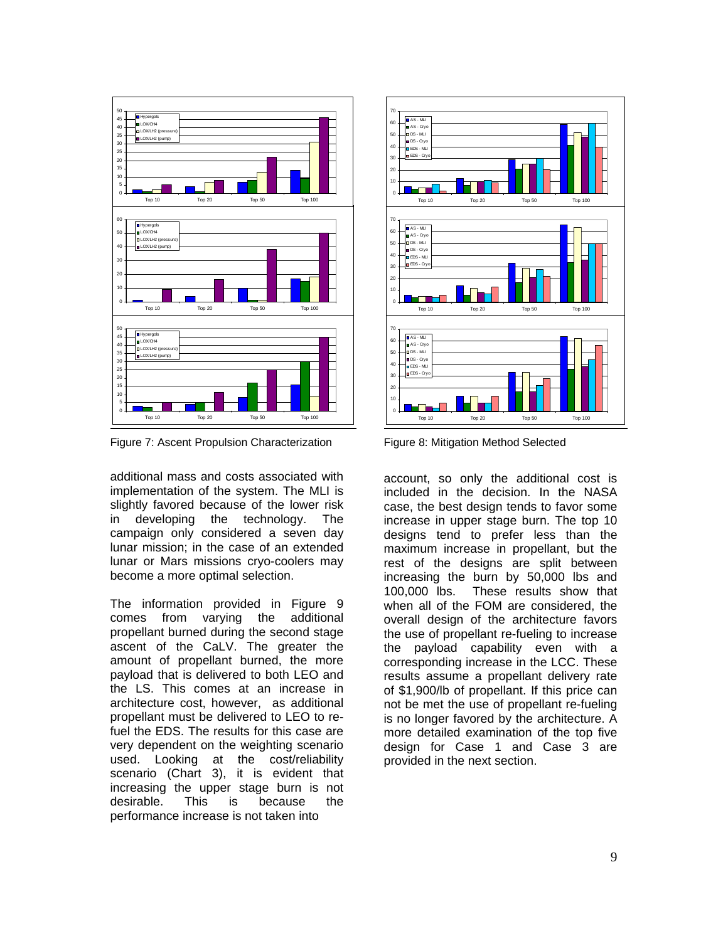

Figure 7: Ascent Propulsion Characterization

additional mass and costs associated with implementation of the system. The MLI is slightly favored because of the lower risk in developing the technology. The campaign only considered a seven day lunar mission; in the case of an extended lunar or Mars missions cryo-coolers may become a more optimal selection.

The information provided in Figure 9 comes from varying the additional propellant burned during the second stage ascent of the CaLV. The greater the amount of propellant burned, the more payload that is delivered to both LEO and the LS. This comes at an increase in architecture cost, however, as additional propellant must be delivered to LEO to refuel the EDS. The results for this case are very dependent on the weighting scenario used. Looking at the cost/reliability scenario (Chart 3), it is evident that increasing the upper stage burn is not desirable. This is because the performance increase is not taken into



Figure 8: Mitigation Method Selected

account, so only the additional cost is included in the decision. In the NASA case, the best design tends to favor some increase in upper stage burn. The top 10 designs tend to prefer less than the maximum increase in propellant, but the rest of the designs are split between increasing the burn by 50,000 lbs and 100,000 lbs. These results show that when all of the FOM are considered, the overall design of the architecture favors the use of propellant re-fueling to increase the payload capability even with a corresponding increase in the LCC. These results assume a propellant delivery rate of \$1,900/lb of propellant. If this price can not be met the use of propellant re-fueling is no longer favored by the architecture. A more detailed examination of the top five design for Case 1 and Case 3 are provided in the next section.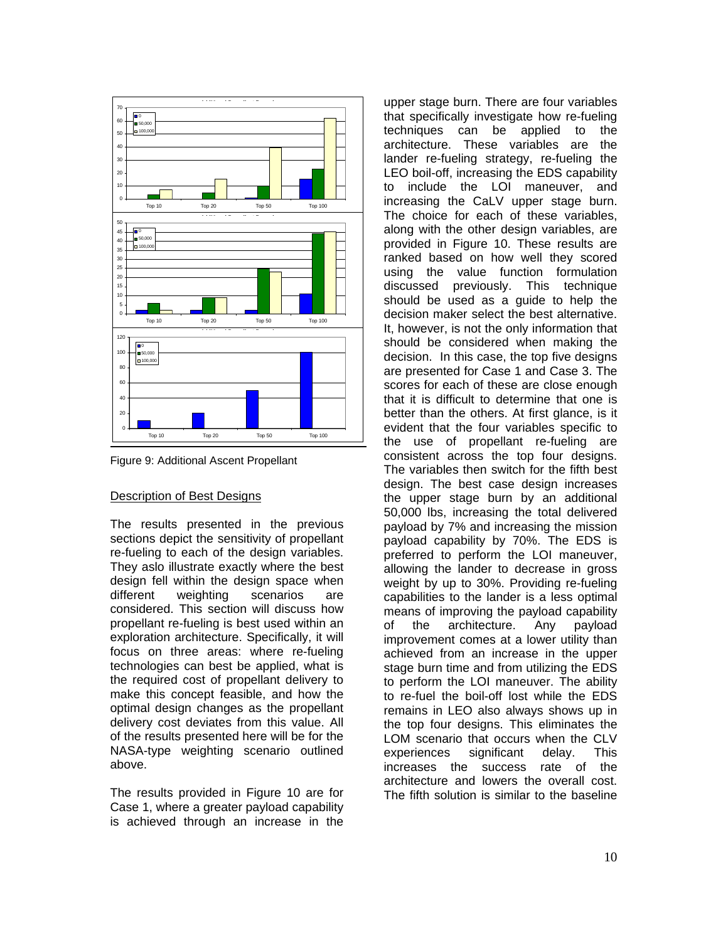

Figure 9: Additional Ascent Propellant

#### Description of Best Designs

The results presented in the previous sections depict the sensitivity of propellant re-fueling to each of the design variables. They aslo illustrate exactly where the best design fell within the design space when different weighting scenarios are considered. This section will discuss how propellant re-fueling is best used within an exploration architecture. Specifically, it will focus on three areas: where re-fueling technologies can best be applied, what is the required cost of propellant delivery to make this concept feasible, and how the optimal design changes as the propellant delivery cost deviates from this value. All of the results presented here will be for the NASA-type weighting scenario outlined above.

The results provided in Figure 10 are for Case 1, where a greater payload capability is achieved through an increase in the upper stage burn. There are four variables that specifically investigate how re-fueling techniques can be applied to the architecture. These variables are the lander re-fueling strategy, re-fueling the LEO boil-off, increasing the EDS capability to include the LOI maneuver, and increasing the CaLV upper stage burn. The choice for each of these variables, along with the other design variables, are provided in Figure 10. These results are ranked based on how well they scored using the value function formulation discussed previously. This technique should be used as a guide to help the decision maker select the best alternative. It, however, is not the only information that should be considered when making the decision. In this case, the top five designs are presented for Case 1 and Case 3. The scores for each of these are close enough that it is difficult to determine that one is better than the others. At first glance, is it evident that the four variables specific to the use of propellant re-fueling are consistent across the top four designs. The variables then switch for the fifth best design. The best case design increases the upper stage burn by an additional 50,000 lbs, increasing the total delivered payload by 7% and increasing the mission payload capability by 70%. The EDS is preferred to perform the LOI maneuver, allowing the lander to decrease in gross weight by up to 30%. Providing re-fueling capabilities to the lander is a less optimal means of improving the payload capability of the architecture. Any payload improvement comes at a lower utility than achieved from an increase in the upper stage burn time and from utilizing the EDS to perform the LOI maneuver. The ability to re-fuel the boil-off lost while the EDS remains in LEO also always shows up in the top four designs. This eliminates the LOM scenario that occurs when the CLV experiences significant delay. This increases the success rate of the architecture and lowers the overall cost. The fifth solution is similar to the baseline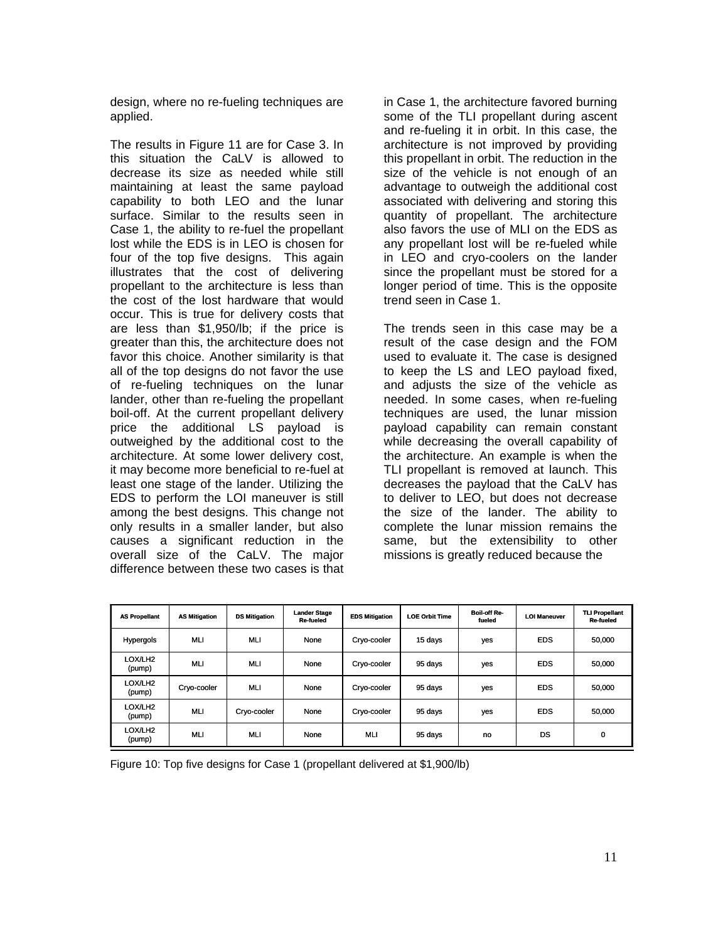design, where no re-fueling techniques are applied.

The results in Figure 11 are for Case 3. In this situation the CaLV is allowed to decrease its size as needed while still maintaining at least the same payload capability to both LEO and the lunar surface. Similar to the results seen in Case 1, the ability to re-fuel the propellant lost while the EDS is in LEO is chosen for four of the top five designs. This again illustrates that the cost of delivering propellant to the architecture is less than the cost of the lost hardware that would occur. This is true for delivery costs that are less than \$1,950/lb; if the price is greater than this, the architecture does not favor this choice. Another similarity is that all of the top designs do not favor the use of re-fueling techniques on the lunar lander, other than re-fueling the propellant boil-off. At the current propellant delivery price the additional LS payload is outweighed by the additional cost to the architecture. At some lower delivery cost, it may become more beneficial to re-fuel at least one stage of the lander. Utilizing the EDS to perform the LOI maneuver is still among the best designs. This change not only results in a smaller lander, but also causes a significant reduction in the overall size of the CaLV. The major difference between these two cases is that in Case 1, the architecture favored burning some of the TLI propellant during ascent and re-fueling it in orbit. In this case, the architecture is not improved by providing this propellant in orbit. The reduction in the size of the vehicle is not enough of an advantage to outweigh the additional cost associated with delivering and storing this quantity of propellant. The architecture also favors the use of MLI on the EDS as any propellant lost will be re-fueled while in LEO and cryo-coolers on the lander since the propellant must be stored for a longer period of time. This is the opposite trend seen in Case 1.

The trends seen in this case may be a result of the case design and the FOM used to evaluate it. The case is designed to keep the LS and LEO payload fixed, and adjusts the size of the vehicle as needed. In some cases, when re-fueling techniques are used, the lunar mission payload capability can remain constant while decreasing the overall capability of the architecture. An example is when the TLI propellant is removed at launch. This decreases the payload that the CaLV has to deliver to LEO, but does not decrease the size of the lander. The ability to complete the lunar mission remains the same, but the extensibility to other missions is greatly reduced because the

| <b>AS Propellant</b>          | <b>AS Mitigation</b> | <b>DS Mitigation</b> | <b>Lander Stage</b><br>Re-fueled | <b>EDS Mitigation</b> | <b>LOE Orbit Time</b> | <b>Boil-off Re-</b><br>fueled | <b>LOI Maneuver</b> | <b>TLI Propellant</b><br><b>Re-fueled</b> |
|-------------------------------|----------------------|----------------------|----------------------------------|-----------------------|-----------------------|-------------------------------|---------------------|-------------------------------------------|
| Hypergols                     | <b>MLI</b>           | MLI                  | None                             | Cryo-cooler           | 15 days               | yes                           | <b>EDS</b>          | 50,000                                    |
| LOX/LH2<br>(pump)             | <b>MLI</b>           | MLI                  | None                             | Cryo-cooler           | 95 days               | yes                           | <b>EDS</b>          | 50,000                                    |
| LOX/LH2<br>(pump)             | Cryo-cooler          | MLI                  | None                             | Cryo-cooler           | 95 days               | yes                           | <b>EDS</b>          | 50,000                                    |
| LOX/LH2<br>(pump)             | <b>MLI</b>           | Cryo-cooler          | None                             | Cryo-cooler           | 95 days               | yes                           | <b>EDS</b>          | 50,000                                    |
| LOX/LH <sub>2</sub><br>(pump) | <b>MLI</b>           | MLI                  | None                             | <b>MLI</b>            | 95 days               | no                            | DS                  | 0                                         |

Figure 10: Top five designs for Case 1 (propellant delivered at \$1,900/lb)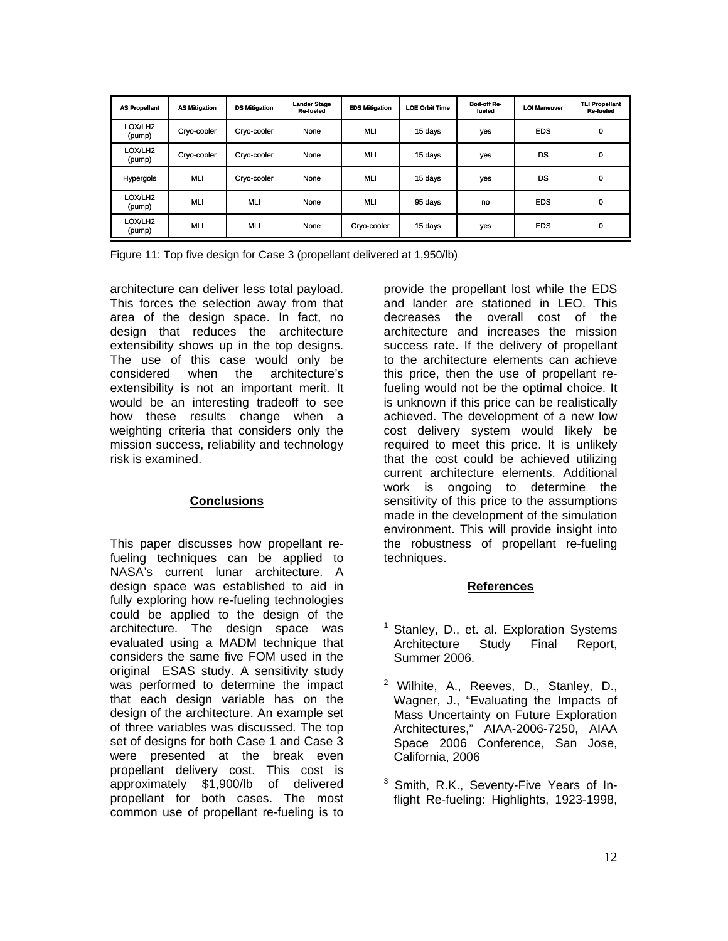| <b>AS Propellant</b>          | <b>AS Mitigation</b> | <b>DS Mitigation</b> | <b>Lander Stage</b><br>Re-fueled | <b>EDS Mitigation</b> | <b>LOE Orbit Time</b> | <b>Boil-off Re-</b><br>fueled | <b>LOI Maneuver</b> | <b>TLI Propellant</b><br><b>Re-fueled</b> |
|-------------------------------|----------------------|----------------------|----------------------------------|-----------------------|-----------------------|-------------------------------|---------------------|-------------------------------------------|
| LOX/LH <sub>2</sub><br>(pump) | Cryo-cooler          | Cryo-cooler          | None                             | <b>MLI</b>            | 15 days               | yes                           | <b>EDS</b>          | 0                                         |
| LOX/LH <sub>2</sub><br>(pump) | Cryo-cooler          | Cryo-cooler          | None                             | <b>MLI</b>            | 15 days               | yes                           | DS                  | 0                                         |
| Hypergols                     | <b>MLI</b>           | Cryo-cooler          | None                             | <b>MLI</b>            | 15 days               | yes                           | DS                  | 0                                         |
| LOX/LH <sub>2</sub><br>(pump) | <b>MLI</b>           | <b>MLI</b>           | None                             | <b>MLI</b>            | 95 days               | no                            | <b>EDS</b>          | 0                                         |
| LOX/LH2<br>(pump)             | <b>MLI</b>           | <b>MLI</b>           | None                             | Cryo-cooler           | 15 days               | yes                           | <b>EDS</b>          | 0                                         |

Figure 11: Top five design for Case 3 (propellant delivered at 1,950/lb)

architecture can deliver less total payload. This forces the selection away from that area of the design space. In fact, no design that reduces the architecture extensibility shows up in the top designs. The use of this case would only be considered when the architecture's extensibility is not an important merit. It would be an interesting tradeoff to see how these results change when a weighting criteria that considers only the mission success, reliability and technology risk is examined.

## **Conclusions**

This paper discusses how propellant refueling techniques can be applied to NASA's current lunar architecture. A design space was established to aid in fully exploring how re-fueling technologies could be applied to the design of the architecture. The design space was evaluated using a MADM technique that considers the same five FOM used in the original ESAS study. A sensitivity study was performed to determine the impact that each design variable has on the design of the architecture. An example set of three variables was discussed. The top set of designs for both Case 1 and Case 3 were presented at the break even propellant delivery cost. This cost is approximately \$1,900/lb of delivered propellant for both cases. The most common use of propellant re-fueling is to provide the propellant lost while the EDS and lander are stationed in LEO. This decreases the overall cost of the architecture and increases the mission success rate. If the delivery of propellant to the architecture elements can achieve this price, then the use of propellant refueling would not be the optimal choice. It is unknown if this price can be realistically achieved. The development of a new low cost delivery system would likely be required to meet this price. It is unlikely that the cost could be achieved utilizing current architecture elements. Additional work is ongoing to determine the sensitivity of this price to the assumptions made in the development of the simulation environment. This will provide insight into the robustness of propellant re-fueling techniques.

## **References**

- 1 Stanley, D., et. al. Exploration Systems Architecture Study Final Report, Summer 2006.
- <sup>2</sup> Wilhite, A., Reeves, D., Stanley, D., Wagner, J., "Evaluating the Impacts of Mass Uncertainty on Future Exploration Architectures," AIAA-2006-7250, AIAA Space 2006 Conference, San Jose, California, 2006
- <sup>3</sup> Smith, R.K., Seventy-Five Years of Inflight Re-fueling: Highlights, 1923-1998,